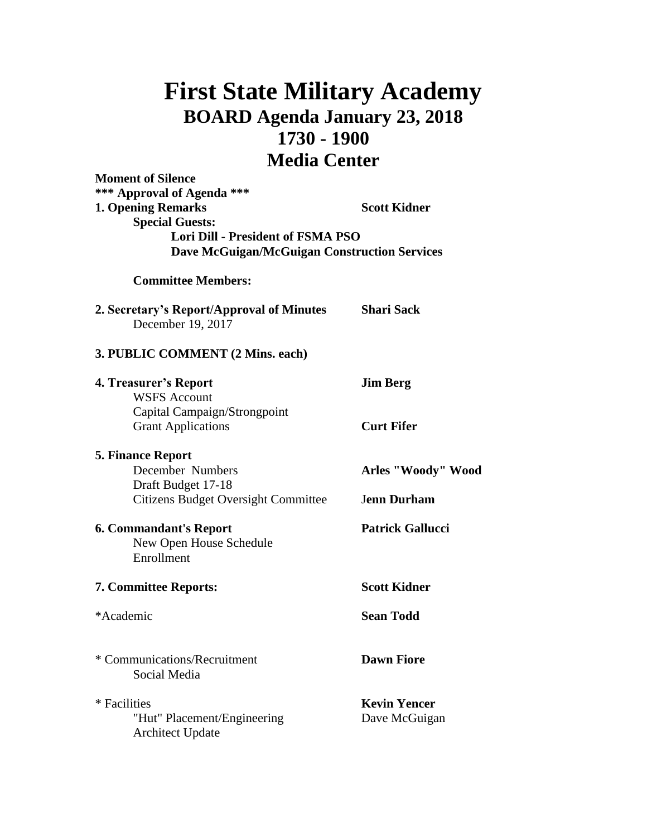## **First State Military Academy BOARD Agenda January 23, 2018 1730 - 1900 Media Center**

| <b>Moment of Silence</b><br>*** Approval of Agenda ***<br><b>1. Opening Remarks</b><br><b>Special Guests:</b><br><b>Lori Dill - President of FSMA PSO</b><br><b>Dave McGuigan/McGuigan Construction Services</b> | <b>Scott Kidner</b>                  |
|------------------------------------------------------------------------------------------------------------------------------------------------------------------------------------------------------------------|--------------------------------------|
| <b>Committee Members:</b>                                                                                                                                                                                        |                                      |
| 2. Secretary's Report/Approval of Minutes<br>December 19, 2017                                                                                                                                                   | <b>Shari Sack</b>                    |
| 3. PUBLIC COMMENT (2 Mins. each)                                                                                                                                                                                 |                                      |
| 4. Treasurer's Report<br><b>WSFS Account</b><br>Capital Campaign/Strongpoint                                                                                                                                     | <b>Jim Berg</b>                      |
| <b>Grant Applications</b>                                                                                                                                                                                        | <b>Curt Fifer</b>                    |
| <b>5. Finance Report</b><br>December Numbers<br>Draft Budget 17-18                                                                                                                                               | Arles "Woody" Wood                   |
| <b>Citizens Budget Oversight Committee</b>                                                                                                                                                                       | <b>Jenn Durham</b>                   |
| <b>6. Commandant's Report</b><br>New Open House Schedule<br>Enrollment                                                                                                                                           | <b>Patrick Gallucci</b>              |
| <b>7. Committee Reports:</b>                                                                                                                                                                                     | <b>Scott Kidner</b>                  |
| *Academic                                                                                                                                                                                                        | <b>Sean Todd</b>                     |
| * Communications/Recruitment<br>Social Media                                                                                                                                                                     | <b>Dawn Fiore</b>                    |
| * Facilities<br>"Hut" Placement/Engineering<br><b>Architect Update</b>                                                                                                                                           | <b>Kevin Yencer</b><br>Dave McGuigan |